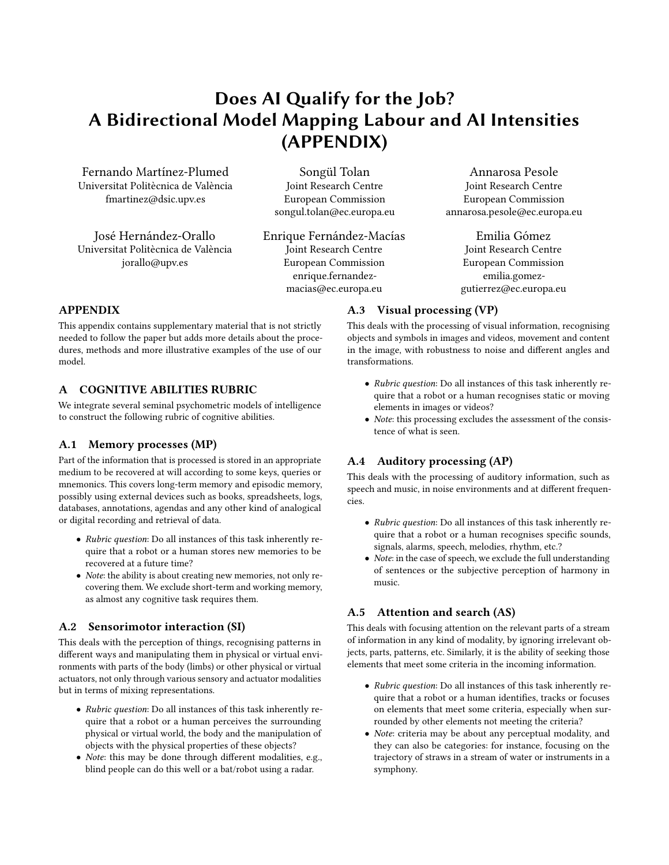# Does AI Qualify for the Job? A Bidirectional Model Mapping Labour and AI Intensities (APPENDIX)

Fernando Martínez-Plumed Universitat Politècnica de València fmartinez@dsic.upv.es

José Hernández-Orallo Universitat Politècnica de València jorallo@upv.es

Songül Tolan Joint Research Centre European Commission songul.tolan@ec.europa.eu

Enrique Fernández-Macías Joint Research Centre European Commission enrique.fernandezmacias@ec.europa.eu

Annarosa Pesole Joint Research Centre European Commission annarosa.pesole@ec.europa.eu

> Emilia Gómez Joint Research Centre European Commission emilia.gomezgutierrez@ec.europa.eu

## APPENDIX

This appendix contains supplementary material that is not strictly needed to follow the paper but adds more details about the procedures, methods and more illustrative examples of the use of our model.

#### A COGNITIVE ABILITIES RUBRIC

We integrate several seminal psychometric models of intelligence to construct the following rubric of cognitive abilities.

#### A.1 Memory processes (MP)

Part of the information that is processed is stored in an appropriate medium to be recovered at will according to some keys, queries or mnemonics. This covers long-term memory and episodic memory, possibly using external devices such as books, spreadsheets, logs, databases, annotations, agendas and any other kind of analogical or digital recording and retrieval of data.

- Rubric question: Do all instances of this task inherently require that a robot or a human stores new memories to be recovered at a future time?
- Note: the ability is about creating new memories, not only recovering them. We exclude short-term and working memory, as almost any cognitive task requires them.

#### A.2 Sensorimotor interaction (SI)

This deals with the perception of things, recognising patterns in diferent ways and manipulating them in physical or virtual environments with parts of the body (limbs) or other physical or virtual actuators, not only through various sensory and actuator modalities but in terms of mixing representations.

- Rubric question: Do all instances of this task inherently require that a robot or a human perceives the surrounding physical or virtual world, the body and the manipulation of objects with the physical properties of these objects?
- Note: this may be done through diferent modalities, e.g., blind people can do this well or a bat/robot using a radar.

# A.3 Visual processing (VP)

This deals with the processing of visual information, recognising objects and symbols in images and videos, movement and content in the image, with robustness to noise and diferent angles and transformations.

- Rubric question: Do all instances of this task inherently require that a robot or a human recognises static or moving elements in images or videos?
- Note: this processing excludes the assessment of the consistence of what is seen.

## A.4 Auditory processing (AP)

This deals with the processing of auditory information, such as speech and music, in noise environments and at diferent frequencies.

- Rubric question: Do all instances of this task inherently require that a robot or a human recognises specifc sounds, signals, alarms, speech, melodies, rhythm, etc.?
- Note: in the case of speech, we exclude the full understanding of sentences or the subjective perception of harmony in music.

## A.5 Attention and search (AS)

This deals with focusing attention on the relevant parts of a stream of information in any kind of modality, by ignoring irrelevant objects, parts, patterns, etc. Similarly, it is the ability of seeking those elements that meet some criteria in the incoming information.

- Rubric question: Do all instances of this task inherently require that a robot or a human identifes, tracks or focuses on elements that meet some criteria, especially when surrounded by other elements not meeting the criteria?
- Note: criteria may be about any perceptual modality, and they can also be categories: for instance, focusing on the trajectory of straws in a stream of water or instruments in a symphony.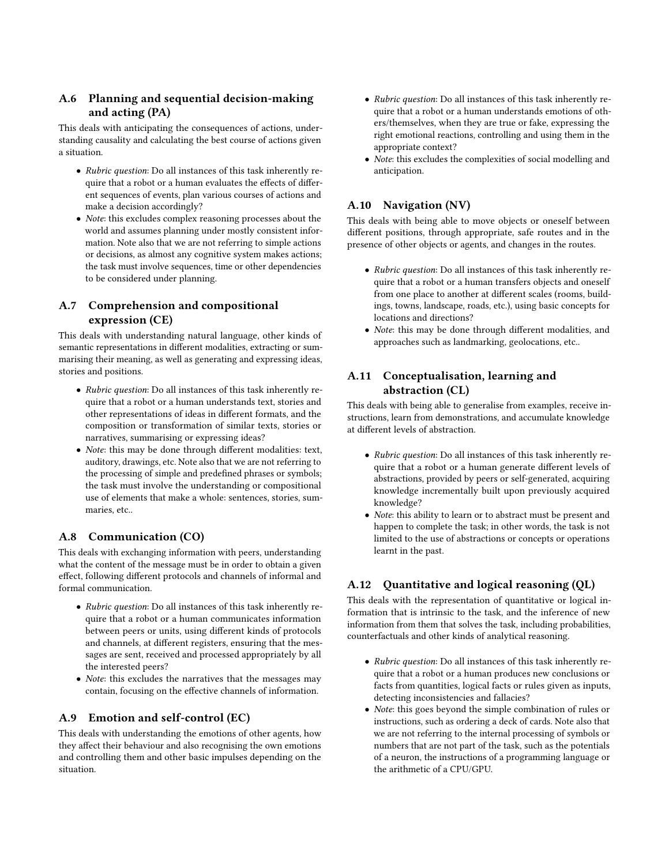## A.6 Planning and sequential decision-making and acting (PA)

This deals with anticipating the consequences of actions, understanding causality and calculating the best course of actions given a situation.

- Rubric question: Do all instances of this task inherently require that a robot or a human evaluates the efects of diferent sequences of events, plan various courses of actions and make a decision accordingly?
- Note: this excludes complex reasoning processes about the world and assumes planning under mostly consistent information. Note also that we are not referring to simple actions or decisions, as almost any cognitive system makes actions; the task must involve sequences, time or other dependencies to be considered under planning.

#### A.7 Comprehension and compositional expression (CE)

This deals with understanding natural language, other kinds of semantic representations in diferent modalities, extracting or summarising their meaning, as well as generating and expressing ideas, stories and positions.

- Rubric question: Do all instances of this task inherently require that a robot or a human understands text, stories and other representations of ideas in diferent formats, and the composition or transformation of similar texts, stories or narratives, summarising or expressing ideas?
- Note: this may be done through diferent modalities: text, auditory, drawings, etc. Note also that we are not referring to the processing of simple and predefned phrases or symbols; the task must involve the understanding or compositional use of elements that make a whole: sentences, stories, summaries, etc..

#### A.8 Communication (CO)

This deals with exchanging information with peers, understanding what the content of the message must be in order to obtain a given efect, following diferent protocols and channels of informal and formal communication.

- Rubric question: Do all instances of this task inherently require that a robot or a human communicates information between peers or units, using diferent kinds of protocols and channels, at diferent registers, ensuring that the messages are sent, received and processed appropriately by all the interested peers?
- Note: this excludes the narratives that the messages may contain, focusing on the efective channels of information.

#### A.9 Emotion and self-control (EC)

This deals with understanding the emotions of other agents, how they affect their behaviour and also recognising the own emotions and controlling them and other basic impulses depending on the situation.

- Rubric question: Do all instances of this task inherently require that a robot or a human understands emotions of others/themselves, when they are true or fake, expressing the right emotional reactions, controlling and using them in the appropriate context?
- Note: this excludes the complexities of social modelling and anticipation.

## A.10 Navigation (NV)

This deals with being able to move objects or oneself between diferent positions, through appropriate, safe routes and in the presence of other objects or agents, and changes in the routes.

- Rubric question: Do all instances of this task inherently require that a robot or a human transfers objects and oneself from one place to another at diferent scales (rooms, buildings, towns, landscape, roads, etc.), using basic concepts for locations and directions?
- Note: this may be done through diferent modalities, and approaches such as landmarking, geolocations, etc..

## A.11 Conceptualisation, learning and abstraction (CL)

This deals with being able to generalise from examples, receive instructions, learn from demonstrations, and accumulate knowledge at diferent levels of abstraction.

- Rubric question: Do all instances of this task inherently require that a robot or a human generate diferent levels of abstractions, provided by peers or self-generated, acquiring knowledge incrementally built upon previously acquired knowledge?
- Note: this ability to learn or to abstract must be present and happen to complete the task; in other words, the task is not limited to the use of abstractions or concepts or operations learnt in the past.

## A.12 Quantitative and logical reasoning (QL)

This deals with the representation of quantitative or logical information that is intrinsic to the task, and the inference of new information from them that solves the task, including probabilities, counterfactuals and other kinds of analytical reasoning.

- Rubric question: Do all instances of this task inherently require that a robot or a human produces new conclusions or facts from quantities, logical facts or rules given as inputs, detecting inconsistencies and fallacies?
- Note: this goes beyond the simple combination of rules or instructions, such as ordering a deck of cards. Note also that we are not referring to the internal processing of symbols or numbers that are not part of the task, such as the potentials of a neuron, the instructions of a programming language or the arithmetic of a CPU/GPU.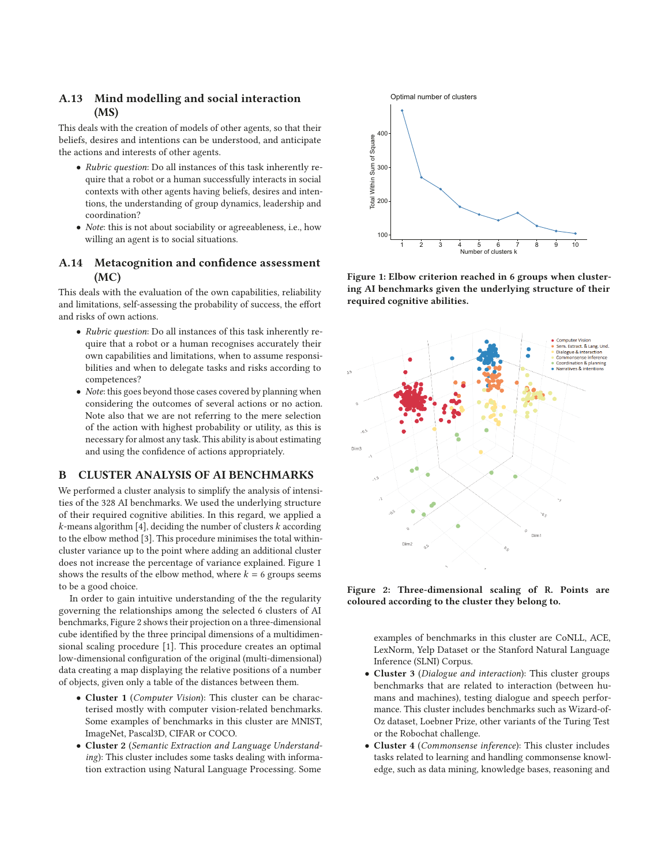#### **A.13 Mind modelling and social interaction (MS)**

This deals with the creation of models of other agents, so that their beliefs, desires and intentions can be understood, and anticipate the actions and interests of other agents.

- Rubric question: Do all instances of this task inherently require that a robot or a human successfully interacts in social contexts with other agents having beliefs, desires and intentions, the understanding of group dynamics, leadership and coordination?
- Note: this is not about sociability or agreeableness, i.e., how willing an agent is to social situations.

#### **A.14 Metacognition and confdence assessment (MC)**

This deals with the evaluation of the own capabilities, reliability and limitations, self-assessing the probability of success, the effort and risks of own actions.

- Rubric question: Do all instances of this task inherently require that a robot or a human recognises accurately their own capabilities and limitations, when to assume responsibilities and when to delegate tasks and risks according to competences?
- Note: this goes beyond those cases covered by planning when considering the outcomes of several actions or no action. Note also that we are not referring to the mere selection of the action with highest probability or utility, as this is necessary for almost any task. This ability is about estimating and using the confdence of actions appropriately.

#### **B CLUSTER ANALYSIS OF AI BENCHMARKS**

We performed a cluster analysis to simplify the analysis of intensities of the 328 AI benchmarks. We used the underlying structure of their required cognitive abilities. In this regard, we applied a  $k$ -means algorithm [\[4\]](#page-4-0), deciding the number of clusters  $k$  according to the elbow method [\[3\]](#page-4-1). This procedure minimises the total withincluster variance up to the point where adding an additional cluster does not increase the percentage of variance explained. Figure [1](#page-2-0) shows the results of the elbow method, where  $k = 6$  groups seems to be a good choice.

In order to gain intuitive understanding of the the regularity governing the relationships among the selected 6 clusters of AI benchmarks, Figure [2](#page-2-1) shows their projection on a three-dimensional cube identifed by the three principal dimensions of a multidimensional scaling procedure [\[1\]](#page-4-2). This procedure creates an optimal low-dimensional confguration of the original (multi-dimensional) data creating a map displaying the relative positions of a number of objects, given only a table of the distances between them.

- **Cluster 1** (Computer Vision): This cluster can be characterised mostly with computer vision-related benchmarks. Some examples of benchmarks in this cluster are MNIST, ImageNet, Pascal3D, CIFAR or COCO.
- **Cluster 2** (Semantic Extraction and Language Understanding): This cluster includes some tasks dealing with information extraction using Natural Language Processing. Some

<span id="page-2-0"></span>

**Figure 1: Elbow criterion reached in 6 groups when clustering AI benchmarks given the underlying structure of their required cognitive abilities.**

<span id="page-2-1"></span>

**Figure 2: Three-dimensional scaling of R. Points are coloured according to the cluster they belong to.**

examples of benchmarks in this cluster are CoNLL, ACE, LexNorm, Yelp Dataset or the Stanford Natural Language Inference (SLNI) Corpus.

- **Cluster 3** (Dialogue and interaction): This cluster groups benchmarks that are related to interaction (between humans and machines), testing dialogue and speech performance. This cluster includes benchmarks such as Wizard-of-Oz dataset, Loebner Prize, other variants of the Turing Test or the Robochat challenge.
- **Cluster 4** (Commonsense inference): This cluster includes tasks related to learning and handling commonsense knowledge, such as data mining, knowledge bases, reasoning and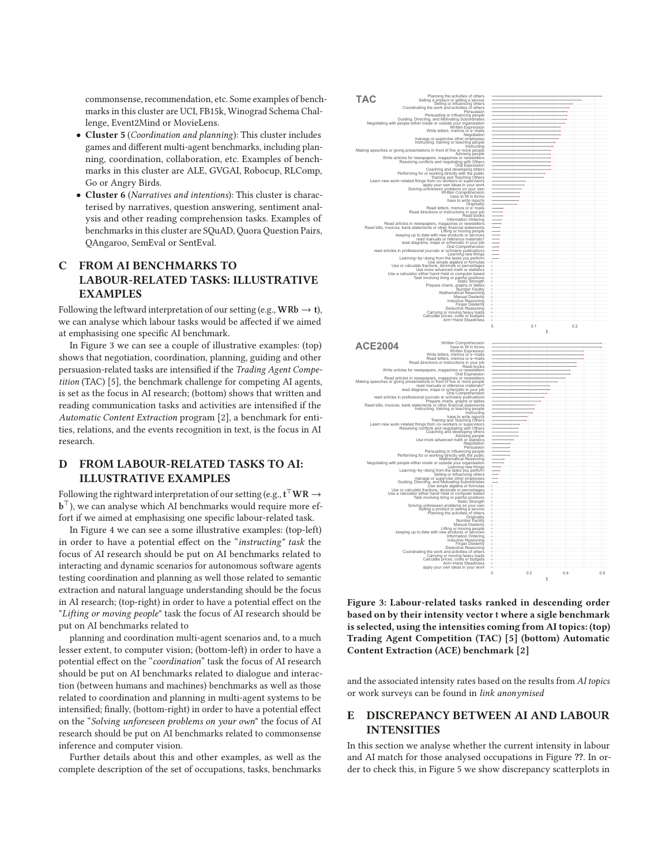commonsense, recommendation, etc. Some examples of benchmarks in this cluster are UCI, FB15k, Winograd Schema Challenge, Event2Mind or MovieLens.

- **Cluster 5** (Coordination and planning): This cluster includes games and diferent multi-agent benchmarks, including planning, coordination, collaboration, etc. Examples of benchmarks in this cluster are ALE, GVGAI, Robocup, RLComp, Go or Angry Birds.
- **Cluster 6** (Narratives and intentions): This cluster is characterised by narratives, question answering, sentiment analysis and other reading comprehension tasks. Examples of benchmarks in this cluster are SQuAD, Quora Question Pairs, QAngaroo, SemEval or SentEval.

#### **C FROM AI BENCHMARKS TO LABOUR-RELATED TASKS: ILLUSTRATIVE EXAMPLES**

Following the leftward interpretation of our setting (e.g.,  $\text{WRb} \rightarrow \text{t}$ ), we can analyse which labour tasks would be afected if we aimed at emphasising one specifc AI benchmark.

In Figure [3](#page-3-0) we can see a couple of illustrative examples: (top) shows that negotiation, coordination, planning, guiding and other persuasion-related tasks are intensifed if the Trading Agent Competition (TAC) [\[5\]](#page-4-3), the benchmark challenge for competing AI agents, is set as the focus in AI research; (bottom) shows that written and reading communication tasks and activities are intensifed if the Automatic Content Extraction program [\[2\]](#page-4-4), a benchmark for entities, relations, and the events recognition in text, is the focus in AI research.

#### **D FROM LABOUR-RELATED TASKS TO AI: ILLUSTRATIVE EXAMPLES**

Following the rightward interpretation of our setting (e.g.,  $\mathbf{t}^\top \mathbf{W} \mathbf{R} \to$ **), we can analyse which AI benchmarks would require more ef**fort if we aimed at emphasising one specifc labour-related task.

In Figure [4](#page-4-5) we can see a some illustrative examples: (top-left) in order to have a potential efect on the "instructing" task the focus of AI research should be put on AI benchmarks related to interacting and dynamic scenarios for autonomous software agents testing coordination and planning as well those related to semantic extraction and natural language understanding should be the focus in AI research; (top-right) in order to have a potential effect on the "Lifting or moving people" task the focus of AI research should be put on AI benchmarks related to

planning and coordination multi-agent scenarios and, to a much lesser extent, to computer vision; (bottom-left) in order to have a potential effect on the "coordination" task the focus of AI research should be put on AI benchmarks related to dialogue and interaction (between humans and machines) benchmarks as well as those related to coordination and planning in multi-agent systems to be intensifed; fnally, (bottom-right) in order to have a potential efect on the "Solving unforeseen problems on your own" the focus of AI research should be put on AI benchmarks related to commonsense inference and computer vision.

Further details about this and other examples, as well as the complete description of the set of occupations, tasks, benchmarks

<span id="page-3-0"></span>

**Figure 3: Labour-related tasks ranked in descending order based on by their intensity vector t where a sigle benchmark is selected, using the intensities coming from AI topics: (top) Trading Agent Competition (TAC) [\[5\]](#page-4-3) (bottom) Automatic Content Extraction (ACE) benchmark [\[2\]](#page-4-4)**

and the associated intensity rates based on the results from AI topics or work surveys can be found in link anonymised

#### **E DISCREPANCY BETWEEN AI AND LABOUR INTENSITIES**

In this section we analyse whether the current intensity in labour and AI match for those analysed occupations in Figure **??**. In order to check this, in Figure [5](#page-4-6) we show discrepancy scatterplots in